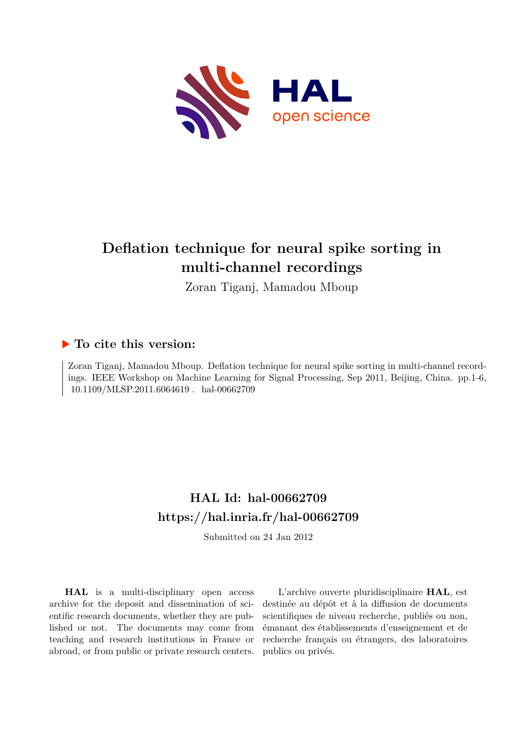

# **Deflation technique for neural spike sorting in multi-channel recordings**

Zoran Tiganj, Mamadou Mboup

### **To cite this version:**

Zoran Tiganj, Mamadou Mboup. Deflation technique for neural spike sorting in multi-channel recordings. IEEE Workshop on Machine Learning for Signal Processing, Sep 2011, Beijing, China. pp.1-6,  $10.1109/\mathrm{MLSP}.2011.6064619$  .  $\,$  hal-00662709  $\,$ 

## **HAL Id: hal-00662709 <https://hal.inria.fr/hal-00662709>**

Submitted on 24 Jan 2012

**HAL** is a multi-disciplinary open access archive for the deposit and dissemination of scientific research documents, whether they are published or not. The documents may come from teaching and research institutions in France or abroad, or from public or private research centers.

L'archive ouverte pluridisciplinaire **HAL**, est destinée au dépôt et à la diffusion de documents scientifiques de niveau recherche, publiés ou non, émanant des établissements d'enseignement et de recherche français ou étrangers, des laboratoires publics ou privés.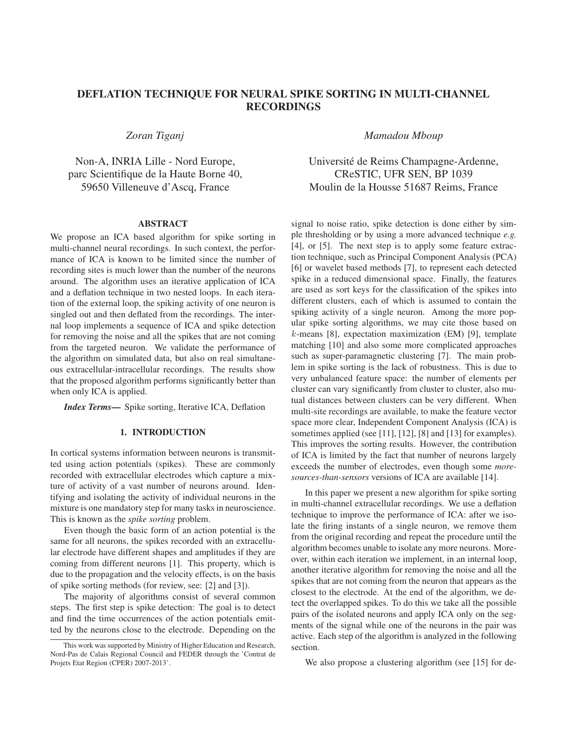### DEFLATION TECHNIQUE FOR NEURAL SPIKE SORTING IN MULTI-CHANNEL RECORDINGS

*Zoran Tiganj*

Non-A, INRIA Lille - Nord Europe, parc Scientifique de la Haute Borne 40, 59650 Villeneuve d'Ascq, France

#### ABSTRACT

We propose an ICA based algorithm for spike sorting in multi-channel neural recordings. In such context, the performance of ICA is known to be limited since the number of recording sites is much lower than the number of the neurons around. The algorithm uses an iterative application of ICA and a deflation technique in two nested loops. In each iteration of the external loop, the spiking activity of one neuron is singled out and then deflated from the recordings. The internal loop implements a sequence of ICA and spike detection for removing the noise and all the spikes that are not coming from the targeted neuron. We validate the performance of the algorithm on simulated data, but also on real simultaneous extracellular-intracellular recordings. The results show that the proposed algorithm performs significantly better than when only ICA is applied.

*Index Terms*— Spike sorting, Iterative ICA, Deflation

#### 1. INTRODUCTION

In cortical systems information between neurons is transmitted using action potentials (spikes). These are commonly recorded with extracellular electrodes which capture a mixture of activity of a vast number of neurons around. Identifying and isolating the activity of individual neurons in the mixture is one mandatory step for many tasks in neuroscience. This is known as the *spike sorting* problem.

Even though the basic form of an action potential is the same for all neurons, the spikes recorded with an extracellular electrode have different shapes and amplitudes if they are coming from different neurons [1]. This property, which is due to the propagation and the velocity effects, is on the basis of spike sorting methods (for review, see: [2] and [3]).

The majority of algorithms consist of several common steps. The first step is spike detection: The goal is to detect and find the time occurrences of the action potentials emitted by the neurons close to the electrode. Depending on the

*Mamadou Mboup*

Universite de Reims Champagne-Ardenne, ´ CReSTIC, UFR SEN, BP 1039 Moulin de la Housse 51687 Reims, France

signal to noise ratio, spike detection is done either by simple thresholding or by using a more advanced technique *e.g.* [4], or [5]. The next step is to apply some feature extraction technique, such as Principal Component Analysis (PCA) [6] or wavelet based methods [7], to represent each detected spike in a reduced dimensional space. Finally, the features are used as sort keys for the classification of the spikes into different clusters, each of which is assumed to contain the spiking activity of a single neuron. Among the more popular spike sorting algorithms, we may cite those based on  $k$ -means [8], expectation maximization (EM) [9], template matching [10] and also some more complicated approaches such as super-paramagnetic clustering [7]. The main problem in spike sorting is the lack of robustness. This is due to very unbalanced feature space: the number of elements per cluster can vary significantly from cluster to cluster, also mutual distances between clusters can be very different. When multi-site recordings are available, to make the feature vector space more clear, Independent Component Analysis (ICA) is sometimes applied (see [11], [12], [8] and [13] for examples). This improves the sorting results. However, the contribution of ICA is limited by the fact that number of neurons largely exceeds the number of electrodes, even though some *moresources-than-sensors* versions of ICA are available [14].

In this paper we present a new algorithm for spike sorting in multi-channel extracellular recordings. We use a deflation technique to improve the performance of ICA: after we isolate the firing instants of a single neuron, we remove them from the original recording and repeat the procedure until the algorithm becomes unable to isolate any more neurons. Moreover, within each iteration we implement, in an internal loop, another iterative algorithm for removing the noise and all the spikes that are not coming from the neuron that appears as the closest to the electrode. At the end of the algorithm, we detect the overlapped spikes. To do this we take all the possible pairs of the isolated neurons and apply ICA only on the segments of the signal while one of the neurons in the pair was active. Each step of the algorithm is analyzed in the following section.

We also propose a clustering algorithm (see [15] for de-

This work was supported by Ministry of Higher Education and Research, Nord-Pas de Calais Regional Council and FEDER through the 'Contrat de Projets Etat Region (CPER) 2007-2013'.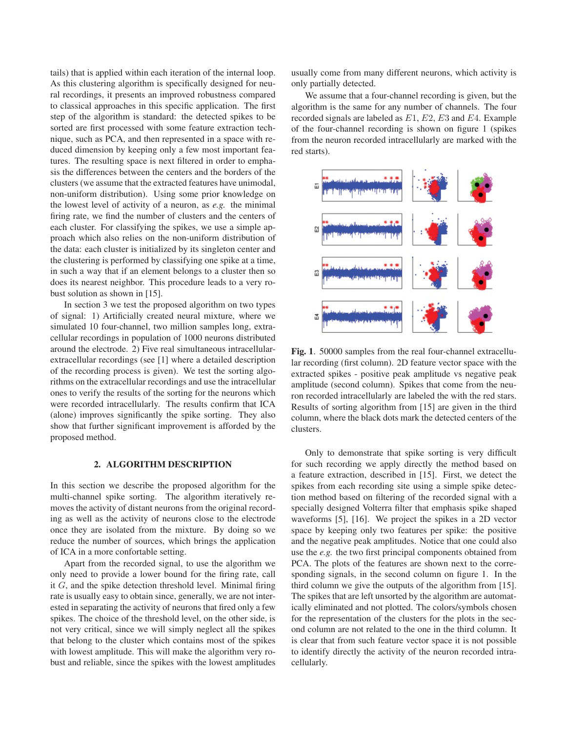tails) that is applied within each iteration of the internal loop. As this clustering algorithm is specifically designed for neural recordings, it presents an improved robustness compared to classical approaches in this specific application. The first step of the algorithm is standard: the detected spikes to be sorted are first processed with some feature extraction technique, such as PCA, and then represented in a space with reduced dimension by keeping only a few most important features. The resulting space is next filtered in order to emphasis the differences between the centers and the borders of the clusters (we assume that the extracted features have unimodal, non-uniform distribution). Using some prior knowledge on the lowest level of activity of a neuron, as *e.g.* the minimal firing rate, we find the number of clusters and the centers of each cluster. For classifying the spikes, we use a simple approach which also relies on the non-uniform distribution of the data: each cluster is initialized by its singleton center and the clustering is performed by classifying one spike at a time, in such a way that if an element belongs to a cluster then so does its nearest neighbor. This procedure leads to a very robust solution as shown in [15].

In section 3 we test the proposed algorithm on two types of signal: 1) Artificially created neural mixture, where we simulated 10 four-channel, two million samples long, extracellular recordings in population of 1000 neurons distributed around the electrode. 2) Five real simultaneous intracellularextracellular recordings (see [1] where a detailed description of the recording process is given). We test the sorting algorithms on the extracellular recordings and use the intracellular ones to verify the results of the sorting for the neurons which were recorded intracellularly. The results confirm that ICA (alone) improves significantly the spike sorting. They also show that further significant improvement is afforded by the proposed method.

#### 2. ALGORITHM DESCRIPTION

In this section we describe the proposed algorithm for the multi-channel spike sorting. The algorithm iteratively removes the activity of distant neurons from the original recording as well as the activity of neurons close to the electrode once they are isolated from the mixture. By doing so we reduce the number of sources, which brings the application of ICA in a more confortable setting.

Apart from the recorded signal, to use the algorithm we only need to provide a lower bound for the firing rate, call it G, and the spike detection threshold level. Minimal firing rate is usually easy to obtain since, generally, we are not interested in separating the activity of neurons that fired only a few spikes. The choice of the threshold level, on the other side, is not very critical, since we will simply neglect all the spikes that belong to the cluster which contains most of the spikes with lowest amplitude. This will make the algorithm very robust and reliable, since the spikes with the lowest amplitudes

usually come from many different neurons, which activity is only partially detected.

We assume that a four-channel recording is given, but the algorithm is the same for any number of channels. The four recorded signals are labeled as  $E1, E2, E3$  and  $E4$ . Example of the four-channel recording is shown on figure 1 (spikes from the neuron recorded intracellularly are marked with the red starts).



Fig. 1. 50000 samples from the real four-channel extracellular recording (first column). 2D feature vector space with the extracted spikes - positive peak amplitude vs negative peak amplitude (second column). Spikes that come from the neuron recorded intracellularly are labeled the with the red stars. Results of sorting algorithm from [15] are given in the third column, where the black dots mark the detected centers of the clusters.

Only to demonstrate that spike sorting is very difficult for such recording we apply directly the method based on a feature extraction, described in [15]. First, we detect the spikes from each recording site using a simple spike detection method based on filtering of the recorded signal with a specially designed Volterra filter that emphasis spike shaped waveforms [5], [16]. We project the spikes in a 2D vector space by keeping only two features per spike: the positive and the negative peak amplitudes. Notice that one could also use the *e.g.* the two first principal components obtained from PCA. The plots of the features are shown next to the corresponding signals, in the second column on figure 1. In the third column we give the outputs of the algorithm from [15]. The spikes that are left unsorted by the algorithm are automatically eliminated and not plotted. The colors/symbols chosen for the representation of the clusters for the plots in the second column are not related to the one in the third column. It is clear that from such feature vector space it is not possible to identify directly the activity of the neuron recorded intracellularly.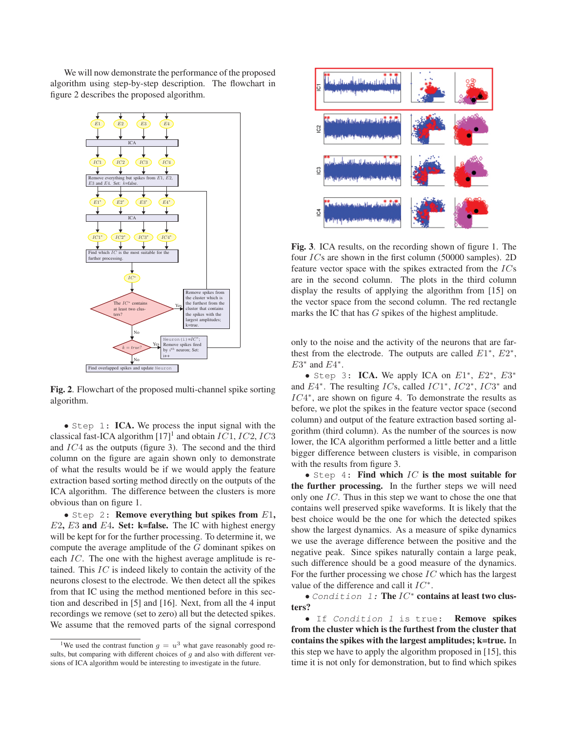We will now demonstrate the performance of the proposed algorithm using step-by-step description. The flowchart in figure 2 describes the proposed algorithm.



Fig. 2. Flowchart of the proposed multi-channel spike sorting algorithm.

• Step 1: ICA. We process the input signal with the classical fast-ICA algorithm  $[17]$ <sup>1</sup> and obtain IC1, IC2, IC3 and IC4 as the outputs (figure 3). The second and the third column on the figure are again shown only to demonstrate of what the results would be if we would apply the feature extraction based sorting method directly on the outputs of the ICA algorithm. The difference between the clusters is more obvious than on figure 1.

 $\bullet$  Step 2: Remove everything but spikes from  $E1$ ,  $E2$ ,  $E3$  and  $E4$ . Set: k=false. The IC with highest energy will be kept for for the further processing. To determine it, we compute the average amplitude of the G dominant spikes on each IC. The one with the highest average amplitude is retained. This IC is indeed likely to contain the activity of the neurons closest to the electrode. We then detect all the spikes from that IC using the method mentioned before in this section and described in [5] and [16]. Next, from all the 4 input recordings we remove (set to zero) all but the detected spikes. We assume that the removed parts of the signal correspond



Fig. 3. ICA results, on the recording shown of figure 1. The four ICs are shown in the first column (50000 samples). 2D feature vector space with the spikes extracted from the ICs are in the second column. The plots in the third column display the results of applying the algorithm from [15] on the vector space from the second column. The red rectangle marks the IC that has G spikes of the highest amplitude.

only to the noise and the activity of the neurons that are farthest from the electrode. The outputs are called  $E1^*$ ,  $E2^*$ ,  $E3^*$  and  $E4^*$ .

• Step 3: ICA. We apply ICA on  $E1^*$ ,  $E2^*$ ,  $E3^*$ and E4∗. The resulting ICs, called IC1∗, IC2∗, IC3<sup>∗</sup> and IC4∗, are shown on figure 4. To demonstrate the results as before, we plot the spikes in the feature vector space (second column) and output of the feature extraction based sorting algorithm (third column). As the number of the sources is now lower, the ICA algorithm performed a little better and a little bigger difference between clusters is visible, in comparison with the results from figure 3.

• Step 4: Find which  $IC$  is the most suitable for the further processing. In the further steps we will need only one IC. Thus in this step we want to chose the one that contains well preserved spike waveforms. It is likely that the best choice would be the one for which the detected spikes show the largest dynamics. As a measure of spike dynamics we use the average difference between the positive and the negative peak. Since spikes naturally contain a large peak, such difference should be a good measure of the dynamics. For the further processing we chose  $IC$  which has the largest value of the difference and call it  $IC^*$ .

• Condition 1: The IC<sup>∗</sup> contains at least two clusters?

• If Condition 1 is true: Remove spikes from the cluster which is the furthest from the cluster that contains the spikes with the largest amplitudes; k=true. In this step we have to apply the algorithm proposed in [15], this time it is not only for demonstration, but to find which spikes

<sup>&</sup>lt;sup>1</sup>We used the contrast function  $g = u^3$  what gave reasonably good results, but comparing with different choices of  $g$  and also with different versions of ICA algorithm would be interesting to investigate in the future.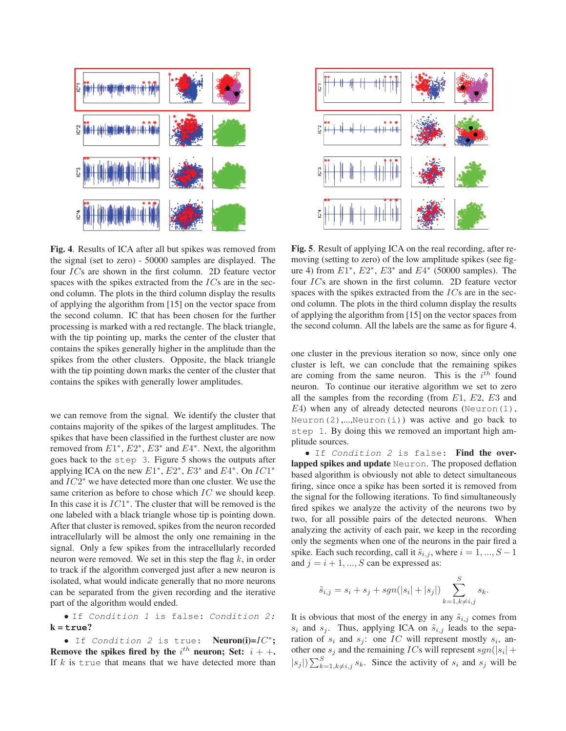

Fig. 4. Results of ICA after all but spikes was removed from the signal (set to zero) - 50000 samples are displayed. The four ICs are shown in the first column. 2D feature vector spaces with the spikes extracted from the  $ICs$  are in the second column. The plots in the third column display the results of applying the algorithm from [15] on the vector space from the second column. IC that has been chosen for the further processing is marked with a red rectangle. The black triangle, with the tip pointing up, marks the center of the cluster that contains the spikes generally higher in the amplitude than the spikes from the other clusters. Opposite, the black triangle with the tip pointing down marks the center of the cluster that contains the spikes with generally lower amplitudes.

we can remove from the signal. We identify the cluster that contains majority of the spikes of the largest amplitudes. The spikes that have been classified in the furthest cluster are now removed from  $E1^*$ ,  $E2^*$ ,  $E3^*$  and  $E4^*$ . Next, the algorithm goes back to the step 3. Figure 5 shows the outputs after applying ICA on the new  $E1^*$ ,  $E2^*$ ,  $E3^*$  and  $E4^*$ . On  $IC1^*$ and IC2<sup>∗</sup> we have detected more than one cluster. We use the same criterion as before to chose which IC we should keep. In this case it is IC1∗. The cluster that will be removed is the one labeled with a black triangle whose tip is pointing down. After that cluster is removed, spikes from the neuron recorded intracellularly will be almost the only one remaining in the signal. Only a few spikes from the intracellularly recorded neuron were removed. We set in this step the flag  $k$ , in order to track if the algorithm converged just after a new neuron is isolated, what would indicate generally that no more neurons can be separated from the given recording and the iterative part of the algorithm would ended.

• If Condition 1 is false: Condition 2: k = **true**?

• If Condition 2 is true: Neuron(i)=IC<sup>\*</sup>; Remove the spikes fired by the  $i^{th}$  neuron; Set:  $i + +$ . If  $k$  is true that means that we have detected more than



Fig. 5. Result of applying ICA on the real recording, after removing (setting to zero) of the low amplitude spikes (see figure 4) from  $E1^*$ ,  $E2^*$ ,  $E3^*$  and  $E4^*$  (50000 samples). The four ICs are shown in the first column. 2D feature vector spaces with the spikes extracted from the  $ICs$  are in the second column. The plots in the third column display the results of applying the algorithm from [15] on the vector spaces from the second column. All the labels are the same as for figure 4.

one cluster in the previous iteration so now, since only one cluster is left, we can conclude that the remaining spikes are coming from the same neuron. This is the  $i<sup>th</sup>$  found neuron. To continue our iterative algorithm we set to zero all the samples from the recording (from  $E1$ ,  $E2$ ,  $E3$  and  $E_4$ ) when any of already detected neurons (Neuron(1), Neuron(2),...,Neuron(i)) was active and go back to step 1. By doing this we removed an important high amplitude sources.

• If Condition 2 is false: Find the overlapped spikes and update Neuron. The proposed deflation based algorithm is obviously not able to detect simultaneous firing, since once a spike has been sorted it is removed from the signal for the following iterations. To find simultaneously fired spikes we analyze the activity of the neurons two by two, for all possible pairs of the detected neurons. When analyzing the activity of each pair, we keep in the recording only the segments when one of the neurons in the pair fired a spike. Each such recording, call it  $\tilde{s}_{i,j}$ , where  $i = 1, ..., S - 1$ and  $j = i + 1, ..., S$  can be expressed as:

$$
\tilde{s}_{i,j} = s_i + s_j + sgn(|s_i| + |s_j|) \sum_{k=1, k \neq i, j}^{S} s_k.
$$

It is obvious that most of the energy in any  $\tilde{s}_{i,j}$  comes from  $s_i$  and  $s_j$ . Thus, applying ICA on  $\tilde{s}_{i,j}$  leads to the separation of  $s_i$  and  $s_j$ : one IC will represent mostly  $s_i$ , another one  $s_i$  and the remaining *ICs* will represent  $sgn(|s_i| +$  $|s_j|$ )  $\sum_{k=1, k \neq i,j}^{S} s_k$ . Since the activity of  $s_i$  and  $s_j$  will be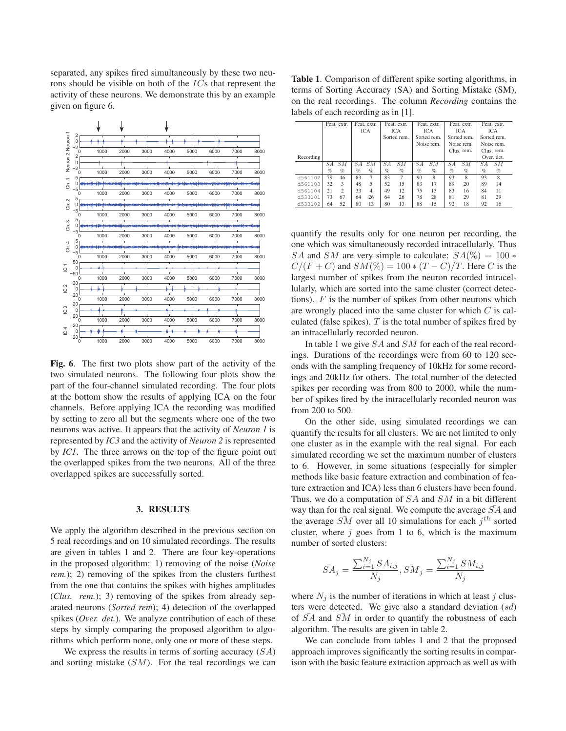separated, any spikes fired simultaneously by these two neurons should be visible on both of the ICs that represent the activity of these neurons. We demonstrate this by an example given on figure 6.



Fig. 6. The first two plots show part of the activity of the two simulated neurons. The following four plots show the part of the four-channel simulated recording. The four plots at the bottom show the results of applying ICA on the four channels. Before applying ICA the recording was modified by setting to zero all but the segments where one of the two neurons was active. It appears that the activity of *Neuron 1* is represented by *IC3* and the activity of *Neuron 2* is represented by *IC1*. The three arrows on the top of the figure point out the overlapped spikes from the two neurons. All of the three overlapped spikes are successfully sorted.

#### 3. RESULTS

We apply the algorithm described in the previous section on 5 real recordings and on 10 simulated recordings. The results are given in tables 1 and 2. There are four key-operations in the proposed algorithm: 1) removing of the noise (*Noise rem.*); 2) removing of the spikes from the clusters furthest from the one that contains the spikes with highes amplitudes (*Clus. rem.*); 3) removing of the spikes from already separated neurons (*Sorted rem*); 4) detection of the overlapped spikes (*Over. det.*). We analyze contribution of each of these steps by simply comparing the proposed algorithm to algorithms which perform none, only one or more of these steps.

We express the results in terms of sorting accuracy  $(SA)$ and sorting mistake  $(SM)$ . For the real recordings we can

Table 1. Comparison of different spike sorting algorithms, in terms of Sorting Accuracy (SA) and Sorting Mistake (SM), on the real recordings. The column *Recording* contains the labels of each recording as in [1].

|           | Feat. extr. |                | Feat. extr. |                | Feat. extr. |            | Feat. extr. |                | Feat. extr. |            | Feat. extr. |            |  |
|-----------|-------------|----------------|-------------|----------------|-------------|------------|-------------|----------------|-------------|------------|-------------|------------|--|
|           |             |                |             | <b>ICA</b>     |             | <b>ICA</b> |             | ICA            |             | <b>ICA</b> |             | ICA        |  |
|           |             |                |             |                | Sorted rem. |            | Sorted rem. |                | Sorted rem. |            | Sorted rem. |            |  |
|           |             |                |             |                | Noise rem.  |            | Noise rem.  |                | Noise rem.  |            |             |            |  |
|           |             |                |             |                |             |            |             | Clus. rem.     |             | Clus, rem. |             |            |  |
| Recording |             |                |             |                |             |            |             |                |             |            |             | Over, det. |  |
|           | SА          | SM             | SА          | SM             | SА          | SM         | SA          | SM             | SA          | SM         | SА          | SM         |  |
|           | $\%$        | $\%$           | $\%$        | $\%$           | $\%$        | $\%$       | $\%$        | $\%$           | $\%$        | $\%$       | $\%$        | $\%$       |  |
| d561102   | 79          | 46             | 83          | 7              | 83          | 7          | 90          | $\overline{8}$ | 93          | 8          | 93          | 8          |  |
| d561103   | 32          | 3              | 48          | 5              | 52          | 15         | 83          | 17             | 89          | 20         | 89          | 14         |  |
| d561104   | 21          | $\overline{c}$ | 33          | $\overline{4}$ | 49          | 12         | 75          | 13             | 83          | 16         | 84          | 11         |  |
| d533101   | 73          | 67             | 64          | 26             | 64          | 26         | 78          | 28             | 81          | 29         | 81          | 29         |  |
| d533102   | 64          | 52             | 80          | 13             | 80          | 13         | 88          | 15             | 92          | 18         | 92          | 16         |  |
|           |             |                |             |                |             |            |             |                |             |            |             |            |  |

quantify the results only for one neuron per recording, the one which was simultaneously recorded intracellularly. Thus SA and SM are very simple to calculate:  $SA(\%) = 100*$  $C/(F+C)$  and  $SM(\%) = 100 * (T - C)/T$ . Here C is the largest number of spikes from the neuron recorded intracellularly, which are sorted into the same cluster (correct detections).  $F$  is the number of spikes from other neurons which are wrongly placed into the same cluster for which C is calculated (false spikes).  $T$  is the total number of spikes fired by an intracellularly recorded neuron.

In table 1 we give SA and SM for each of the real recordings. Durations of the recordings were from 60 to 120 seconds with the sampling frequency of 10kHz for some recordings and 20kHz for others. The total number of the detected spikes per recording was from 800 to 2000, while the number of spikes fired by the intracellularly recorded neuron was from 200 to 500.

On the other side, using simulated recordings we can quantify the results for all clusters. We are not limited to only one cluster as in the example with the real signal. For each simulated recording we set the maximum number of clusters to 6. However, in some situations (especially for simpler methods like basic feature extraction and combination of feature extraction and ICA) less than 6 clusters have been found. Thus, we do a computation of SA and SM in a bit different way than for the real signal. We compute the average  $\bar{SA}$  and the average  $\overline{SM}$  over all 10 simulations for each  $i^{th}$  sorted cluster, where  $j$  goes from 1 to 6, which is the maximum number of sorted clusters:

$$
\bar{SA}_{j} = \frac{\sum_{i=1}^{N_{j}} SA_{i,j}}{N_{j}}, \bar{SM}_{j} = \frac{\sum_{i=1}^{N_{j}} SM_{i,j}}{N_{j}}
$$

where  $N_i$  is the number of iterations in which at least j clusters were detected. We give also a standard deviation (sd) of  $\overline{SA}$  and  $\overline{SM}$  in order to quantify the robustness of each algorithm. The results are given in table 2.

We can conclude from tables 1 and 2 that the proposed approach improves significantly the sorting results in comparison with the basic feature extraction approach as well as with